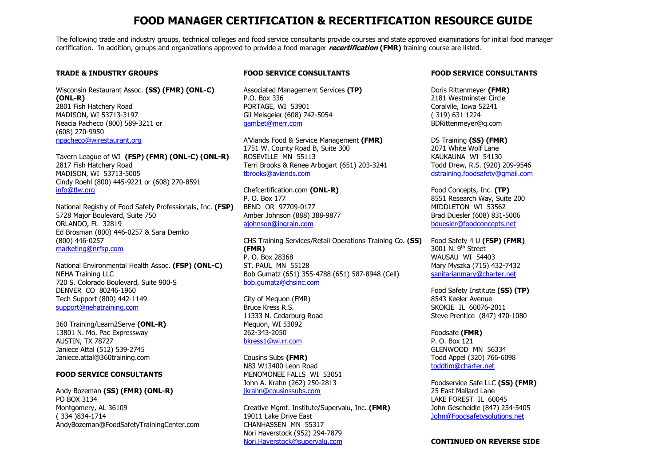# **FOOD MANAGER CERTIFICATION & RECERTIFICATION RESOURCE GUIDE**

The following trade and industry groups, technical colleges and food service consultants provide courses and state approved examinations for initial food manager certification. In addition, groups and organizations approved to provide a food manager **recertification (FMR)** training course are listed.

# **TRADE & INDUSTRY GROUPS**

Wisconsin Restaurant Assoc. **(SS) (FMR) (ONL-C) (ONL-R)** 2801 Fish Hatchery Road MADISON, WI 53713-3197 Neacia Pacheco (800) 589-3211 or (608) 270-9950 npacheco@wirestaurant.org

Tavern League of WI **(FSP) (FMR) (ONL-C) (ONL-R)**2817 Fish Hatchery Road MADISON, WI 53713-5005 Cindy Roehl (800) 445-9221 or (608) 270-8591 info@tlw.org

National Registry of Food Safety Professionals, Inc. **(FSP)**5728 Major Boulevard, Suite 750 ORLANDO, FL 32819 Ed Brosman (800) 446-0257 & Sara Demko (800) 446-0257 marketing@nrfsp.com

National Environmental Health Assoc. **(FSP) (ONL-C)** NEHA Training LLC 720 S. Colorado Boulevard, Suite 900-S DENVER CO 80246-1960 Tech Support (800) 442-1149 support@nehatraining.com

360 Training/Learn2Serve **(ONL-R)**13801 N. Mo. Pac Expressway AUSTIN, TX 78727 Janiece Attal (512) 539-2745 Janiece.attal@360training.com

# **FOOD SERVICE CONSULTANTS**

Andy Bozeman **(SS) (FMR) (ONL-R)**PO BOX 3134 Montgomery, AL 36109 ( 334 )834-1714 AndyBozeman@FoodSafetyTrainingCenter.com

# **FOOD SERVICE CONSULTANTS**

Associated Management Services **(TP)**P.O. Box 336 PORTAGE, WI 53901 Gil Meisgeier (608) 742-5054 gambet@merr.com

A'Viands Food & Service Management **(FMR)**1751 W. County Road B, Suite 300 ROSEVILLE MN 55113 Terri Brooks & Renee Arbogart (651) 203-3241 tbrooks@aviands.com

Chefcertification.com **(ONL-R)** P. O. Box 177 BEND OR 97709-0177 Amber Johnson (888) 388-9877 ajohnson@ingrain.com

CHS Training Services/Retail Operations Training Co. **(SS) (FMR)**  P. O. Box 28368 ST. PAUL MN 55128 Bob Gumatz (651) 355-4788 (651) 587-8948 (Cell) bob.gumatz@chsinc.com

City of Mequon (FMR) Bruce Kress R.S. 11333 N. Cedarburg Road Mequon, WI 53092 262-343-2050 bkress1@wi.rr.com

Cousins Subs **(FMR)** N83 W13400 Leon Road MENOMONEE FALLS WI 53051 John A. Krahn (262) 250-2813 jkrahn@cousinssubs.com

Creative Mgmt. Institute/Supervalu, Inc. **(FMR)** 19011 Lake Drive East CHANHASSEN MN 55317 Nori Haverstock (952) 294-7879 Nori.Haverstock@supervalu.com

## **FOOD SERVICE CONSULTANTS**

Doris Rittenmeyer **(FMR)** 2181 Westminster Circle Coralvile, Iowa 52241 ( 319) 631 1224 BDRittenmeyer@q.com

DS Training **(SS) (FMR)** 2071 White Wolf Lane KAUKAUNA WI 54130 Todd Drew, R.S. (920) 209-9546 dstraining.foodsafety@gmail.com

Food Concepts, Inc. **(TP)**  8551 Research Way, Suite 200 MIDDLETON WI 53562 Brad Duesler (608) 831-5006 bduesler@foodconcepts.net

Food Safety 4 U **(FSP) (FMR)** 3001 N. 9<sup>th</sup> Street WAUSAU WI 54403 Mary Myszka (715) 432-7432 sanitarianmary@charter.net

Food Safety Institute **(SS) (TP)**8543 Keeler Avenue SKOKIE IL 60076-2011 Steve Prentice (847) 470-1080

Foodsafe **(FMR)** P. O. Box 121 GLENWOOD MN 56334 Todd Appel (320) 766-6098 toddtim@charter.net

Foodservice Safe LLC **(SS) (FMR)**25 East Mallard Lane LAKE FOREST IL 60045 John Gescheidle (847) 254-5405 John@Foodsafetysolutions.net

#### **CONTINUED ON REVERSE SIDE**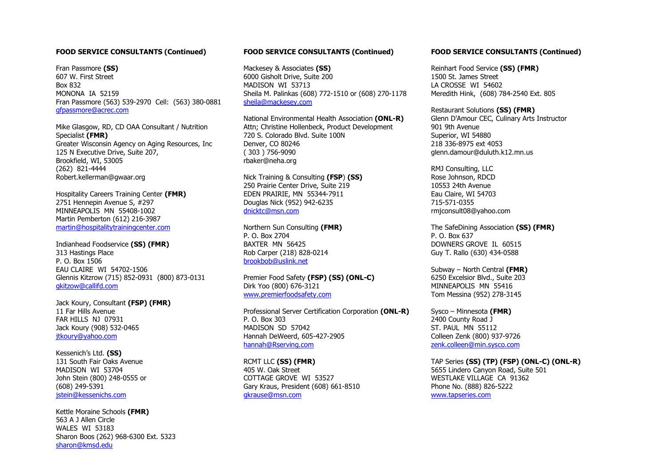#### **FOOD SERVICE CONSULTANTS (Continued)**

Fran Passmore **(SS)** 607 W. First Street Box 832 MONONA IA 52159 Fran Passmore (563) 539-2970 Cell: (563) 380-0881gfpassmore@acrec.com

Mike Glasgow, RD, CD OAA Consultant / Nutrition Specialist **(FMR)** Greater Wisconsin Agency on Aging Resources, Inc 125 N Executive Drive, Suite 207, Brookfield, WI, 53005 (262) 821-4444 Robert.kellerman@gwaar.org

Hospitality Careers Training Center **(FMR)**2751 Hennepin Avenue S, #297 MINNEAPOLIS MN 55408-1002 Martin Pemberton (612) 216-3987 martin@hospitalitytrainingcenter.com

Indianhead Foodservice **(SS) (FMR)** 313 Hastings Place P. O. Box 1506 EAU CLAIRE WI 54702-1506 Glennis Kitzrow (715) 852-0931 (800) 873-0131 gkitzow@callifd.com

Jack Koury, Consultant **(FSP) (FMR)**11 Far Hills Avenue FAR HILLS NJ 07931 Jack Koury (908) 532-0465 jtkoury@yahoo.com

Kessenich's Ltd. **(SS)** 131 South Fair Oaks Avenue MADISON WI 53704 John Stein (800) 248-0555 or (608) 249-5391 jstein@kessenichs.com

Kettle Moraine Schools **(FMR)** 563 A J Allen Circle WALES WI 53183 Sharon Boos (262) 968-6300 Ext. 5323 sharon@kmsd.edu

## **FOOD SERVICE CONSULTANTS (Continued)**

Mackesey & Associates **(SS)**  6000 Gisholt Drive, Suite 200 MADISON WI 53713 Sheila M. Palinkas (608) 772-1510 or (608) 270-1178sheila@mackesey.com

National Environmental Health Association **(ONL-R)**Attn; Christine Hollenbeck, Product Development 720 S. Colorado Blvd. Suite 100N Denver, CO 80246 ( 303 ) 756-9090 rbaker@neha.org

Nick Training & Consulting **(FSP**) **(SS)** 250 Prairie Center Drive, Suite 219 EDEN PRAIRIE, MN 55344-7911 Douglas Nick (952) 942-6235 dnicktc@msn.com

Northern Sun Consulting **(FMR)** P. O. Box 2704 BAXTER MN 56425 Rob Carper (218) 828-0214 brookbob@uslink.net

Premier Food Safety **(FSP) (SS) (ONL-C)** Dirk Yoo (800) 676-3121 www.premierfoodsafety.com

Professional Server Certification Corporation **(ONL-R)** P. O. Box 303 MADISON SD 57042 Hannah DeWeerd, 605-427-2905 hannah@Rserving.com

RCMT LLC **(SS) (FMR)** 405 W. Oak Street COTTAGE GROVE WI 53527 Gary Kraus, President (608) 661-8510 gkrause@msn.com

#### **FOOD SERVICE CONSULTANTS (Continued)**

Reinhart Food Service **(SS) (FMR)** 1500 St. James Street LA CROSSE WI 54602 Meredith Hink, (608) 784-2540 Ext. 805

Restaurant Solutions **(SS) (FMR)** Glenn D'Amour CEC, Culinary Arts Instructor 901 9th Avenue Superior, WI 54880 218 336-8975 ext 4053 glenn.damour@duluth.k12.mn.us

RMJ Consulting, LLC Rose Johnson, RDCD 10553 24th Avenue Eau Claire, WI 54703 715-571-0355 rmjconsult08@yahoo.com

The SafeDining Association **(SS) (FMR)** P. O. Box 637 DOWNERS GROVE IL 60515 Guy T. Rallo (630) 434-0588

Subway – North Central **(FMR)** 6250 Excelsior Blvd., Suite 203 MINNEAPOLIS MN 55416 Tom Messina (952) 278-3145

Sysco – Minnesota **(FMR)**2400 County Road J ST. PAUL MN 55112 Colleen Zenk (800) 937-9726 zenk.colleen@min.sysco.com

TAP Series **(SS) (TP) (FSP) (ONL-C) (ONL-R)** 5655 Lindero Canyon Road, Suite 501 WESTLAKE VILLAGE CA 91362 Phone No. (888) 826-5222 www.tapseries.com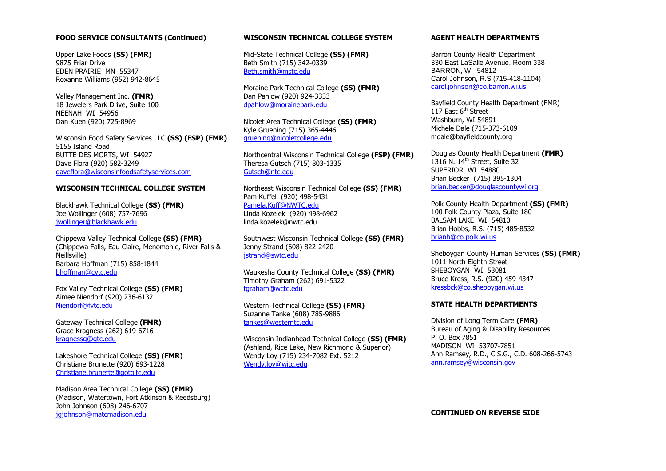## **FOOD SERVICE CONSULTANTS (Continued)**

Upper Lake Foods **(SS) (FMR)** 9875 Friar Drive EDEN PRAIRIE MN 55347 Roxanne Williams (952) 942-8645

Valley Management Inc. **(FMR)** 18 Jewelers Park Drive, Suite 100 NEENAH WI 54956 Dan Kuen (920) 725-8969

Wisconsin Food Safety Services LLC **(SS) (FSP) (FMR)**5155 Island Road BUTTE DES MORTS, WI 54927 Dave Flora (920) 582-3249 daveflora@wisconsinfoodsafetyservices.com

## **WISCONSIN TECHNICAL COLLEGE SYSTEM**

Blackhawk Technical College **(SS) (FMR)**Joe Wollinger (608) 757-7696 jwollinger@blackhawk.edu

Chippewa Valley Technical College **(SS) (FMR)** (Chippewa Falls, Eau Claire, Menomonie, River Falls & Neillsville) Barbara Hoffman (715) 858-1844 bhoffman@cvtc.edu

Fox Valley Technical College **(SS) (FMR)**Aimee Niendorf (920) 236-6132 Niendorf@fvtc.edu

Gateway Technical College **(FMR)**Grace Kragness (262) 619-6716 kragnessg@gtc.edu

Lakeshore Technical College **(SS) (FMR)**Christiane Brunette (920) 693-1228 Christiane.brunette@gotoltc.edu

Madison Area Technical College **(SS) (FMR)** (Madison, Watertown, Fort Atkinson & Reedsburg) John Johnson (608) 246-6707 jgjohnson@matcmadison.edu

## **WISCONSIN TECHNICAL COLLEGE SYSTEM**

Mid-State Technical College **(SS) (FMR)**  Beth Smith (715) 342-0339 Beth.smith@mstc.edu

Moraine Park Technical College **(SS) (FMR)** Dan Pahlow (920) 924-3333 dpahlow@morainepark.edu

Nicolet Area Technical College **(SS) (FMR)**Kyle Gruening (715) 365-4446 gruening@nicoletcollege.edu

Northcentral Wisconsin Technical College **(FSP) (FMR)**Theresa Gutsch (715) 803-1335 Gutsch@ntc.edu

Northeast Wisconsin Technical College **(SS) (FMR)**Pam Kuffel (920) 498-5431 Pamela.Kuff@NWTC.edu Linda Kozelek (920) 498-6962 linda.kozelek@nwtc.edu

Southwest Wisconsin Technical College **(SS) (FMR)**Jenny Strand (608) 822-2420 jstrand@swtc.edu

Waukesha County Technical College **(SS) (FMR)**Timothy Graham (262) 691-5322 tgraham@wctc.edu

Western Technical College **(SS) (FMR)**Suzanne Tanke (608) 785-9886 tankes@westerntc.edu

Wisconsin Indianhead Technical College **(SS) (FMR)**(Ashland, Rice Lake, New Richmond & Superior) Wendy Loy (715) 234-7082 Ext. 5212 Wendy.loy@witc.edu

#### **AGENT HEALTH DEPARTMENTS**

Barron County Health Department 330 East LaSalle Avenue, Room 338 BARRON, WI 54812 Carol Johnson, R.S (715-418-1104) carol.johnson@co.barron.wi.us

Bayfield County Health Department (FMR) 117 Fast  $6<sup>th</sup>$  Street Washburn, WI 54891 Michele Dale (715-373-6109 mdale@bayfieldcounty.org

Douglas County Health Department **(FMR)**1316 N.  $14<sup>th</sup>$  Street, Suite 32 SUPERIOR WI 54880 Brian Becker (715) 395-1304 brian.becker@douglascountywi.org

Polk County Health Department **(SS) (FMR)**100 Polk County Plaza, Suite 180 BALSAM LAKE WI 54810 Brian Hobbs, R.S. (715) 485-8532 brianh@co.polk.wi.us

Sheboygan County Human Services **(SS) (FMR)** 1011 North Eighth Street SHEBOYGAN WI 53081 Bruce Kress, R.S. (920) 459-4347 kressbck@co.sheboygan.wi.us

#### **STATE HEALTH DEPARTMENTS**

Division of Long Term Care **(FMR)**  Bureau of Aging & Disability Resources P. O. Box 7851 MADISON WI 53707-7851 Ann Ramsey, R.D., C.S.G., C.D. 608-266-5743 ann.ramsey@wisconsin.gov

**CONTINUED ON REVERSE SIDE**